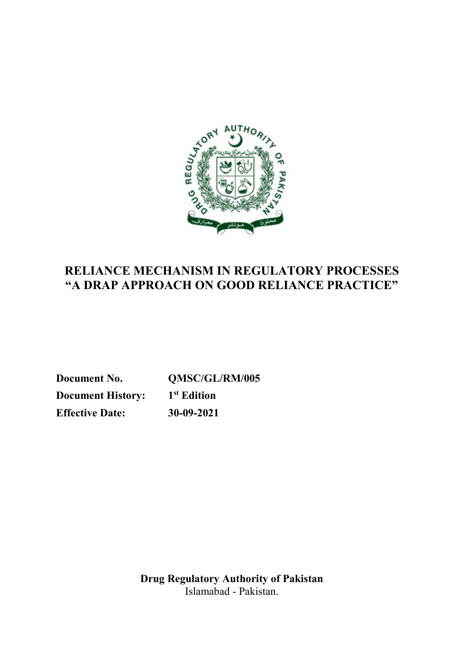

# **RELIANCE MECHANISM IN REGULATORY PROCESSES "A DRAP APPROACH ON GOOD RELIANCE PRACTICE"**

**Document No. QMSC/GL/RM/005 Document History: 1st Edition Effective Date: 30-09-2021**

> **Drug Regulatory Authority of Pakistan** Islamabad - Pakistan.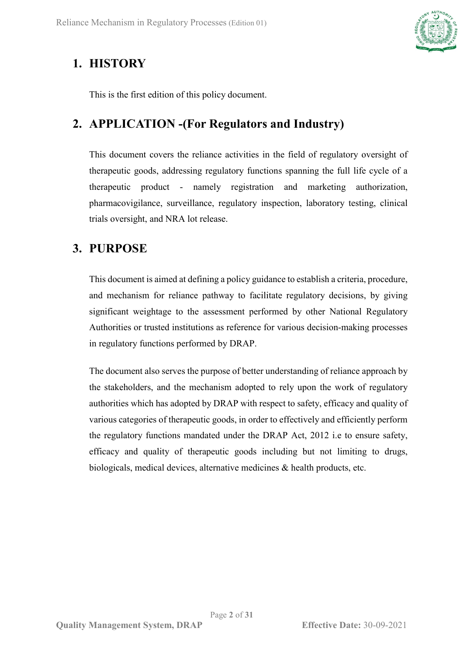

## <span id="page-1-0"></span>**1. HISTORY**

This is the first edition of this policy document.

# <span id="page-1-1"></span>**2. APPLICATION -(For Regulators and Industry)**

This document covers the reliance activities in the field of regulatory oversight of therapeutic goods, addressing regulatory functions spanning the full life cycle of a therapeutic product - namely registration and marketing authorization, pharmacovigilance, surveillance, regulatory inspection, laboratory testing, clinical trials oversight, and NRA lot release.

## <span id="page-1-2"></span>**3. PURPOSE**

This document is aimed at defining a policy guidance to establish a criteria, procedure, and mechanism for reliance pathway to facilitate regulatory decisions, by giving significant weightage to the assessment performed by other National Regulatory Authorities or trusted institutions as reference for various decision-making processes in regulatory functions performed by DRAP.

The document also serves the purpose of better understanding of reliance approach by the stakeholders, and the mechanism adopted to rely upon the work of regulatory authorities which has adopted by DRAP with respect to safety, efficacy and quality of various categories of therapeutic goods, in order to effectively and efficiently perform the regulatory functions mandated under the DRAP Act, 2012 i.e to ensure safety, efficacy and quality of therapeutic goods including but not limiting to drugs, biologicals, medical devices, alternative medicines & health products, etc.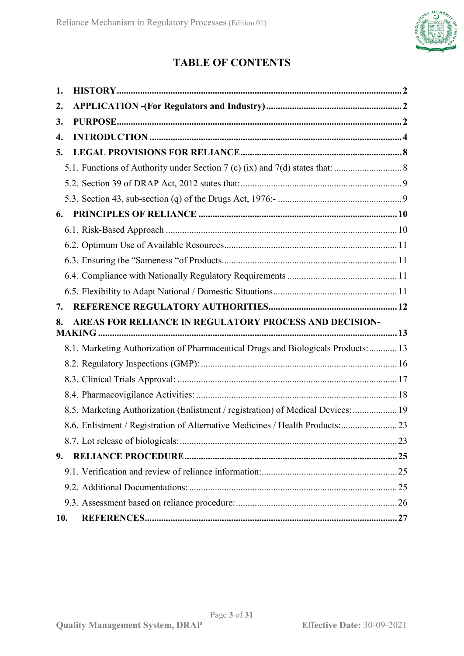

## **TABLE OF CONTENTS**

| 1.  |                                                                                   |  |
|-----|-----------------------------------------------------------------------------------|--|
| 2.  |                                                                                   |  |
| 3.  |                                                                                   |  |
| 4.  |                                                                                   |  |
| 5.  |                                                                                   |  |
|     |                                                                                   |  |
|     |                                                                                   |  |
|     |                                                                                   |  |
| 6.  |                                                                                   |  |
|     |                                                                                   |  |
|     |                                                                                   |  |
|     |                                                                                   |  |
|     |                                                                                   |  |
|     |                                                                                   |  |
| 7.  |                                                                                   |  |
| 8.  | AREAS FOR RELIANCE IN REGULATORY PROCESS AND DECISION-                            |  |
|     |                                                                                   |  |
|     | 8.1. Marketing Authorization of Pharmaceutical Drugs and Biologicals Products: 13 |  |
|     |                                                                                   |  |
|     |                                                                                   |  |
|     |                                                                                   |  |
|     | 8.5. Marketing Authorization (Enlistment / registration) of Medical Devices:  19  |  |
|     | 8.6. Enlistment / Registration of Alternative Medicines / Health Products: 23     |  |
|     |                                                                                   |  |
| 9.  |                                                                                   |  |
|     |                                                                                   |  |
|     |                                                                                   |  |
|     |                                                                                   |  |
| 10. |                                                                                   |  |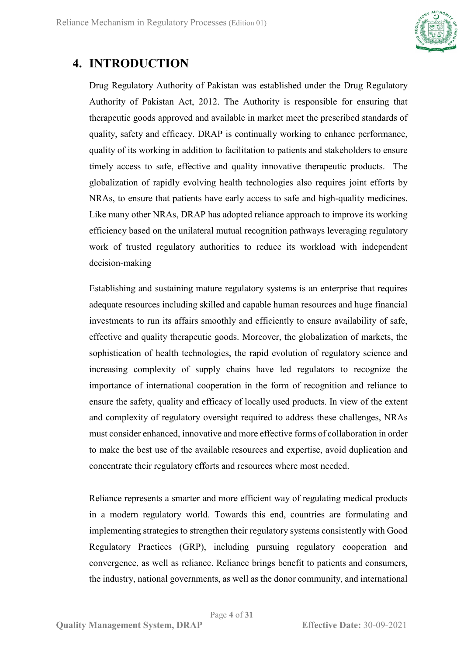

# <span id="page-3-0"></span>**4. INTRODUCTION**

Drug Regulatory Authority of Pakistan was established under the Drug Regulatory Authority of Pakistan Act, 2012. The Authority is responsible for ensuring that therapeutic goods approved and available in market meet the prescribed standards of quality, safety and efficacy. DRAP is continually working to enhance performance, quality of its working in addition to facilitation to patients and stakeholders to ensure timely access to safe, effective and quality innovative therapeutic products. The globalization of rapidly evolving health technologies also requires joint efforts by NRAs, to ensure that patients have early access to safe and high-quality medicines. Like many other NRAs, DRAP has adopted reliance approach to improve its working efficiency based on the unilateral mutual recognition pathways leveraging regulatory work of trusted regulatory authorities to reduce its workload with independent decision-making

Establishing and sustaining mature regulatory systems is an enterprise that requires adequate resources including skilled and capable human resources and huge financial investments to run its affairs smoothly and efficiently to ensure availability of safe, effective and quality therapeutic goods. Moreover, the globalization of markets, the sophistication of health technologies, the rapid evolution of regulatory science and increasing complexity of supply chains have led regulators to recognize the importance of international cooperation in the form of recognition and reliance to ensure the safety, quality and efficacy of locally used products. In view of the extent and complexity of regulatory oversight required to address these challenges, NRAs must consider enhanced, innovative and more effective forms of collaboration in order to make the best use of the available resources and expertise, avoid duplication and concentrate their regulatory efforts and resources where most needed.

Reliance represents a smarter and more efficient way of regulating medical products in a modern regulatory world. Towards this end, countries are formulating and implementing strategies to strengthen their regulatory systems consistently with Good Regulatory Practices (GRP), including pursuing regulatory cooperation and convergence, as well as reliance. Reliance brings benefit to patients and consumers, the industry, national governments, as well as the donor community, and international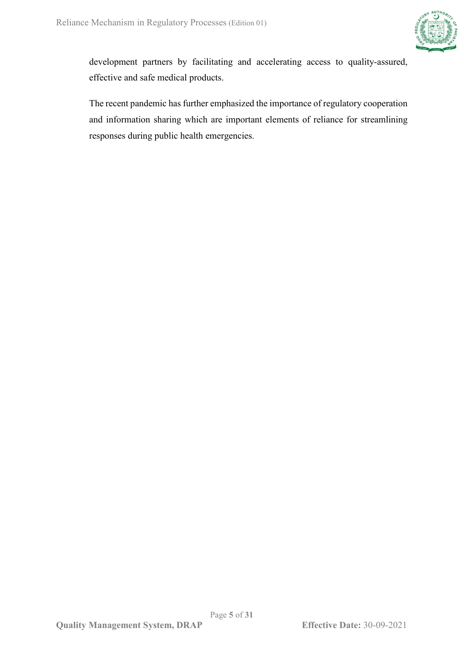

development partners by facilitating and accelerating access to quality-assured, effective and safe medical products.

The recent pandemic has further emphasized the importance of regulatory cooperation and information sharing which are important elements of reliance for streamlining responses during public health emergencies.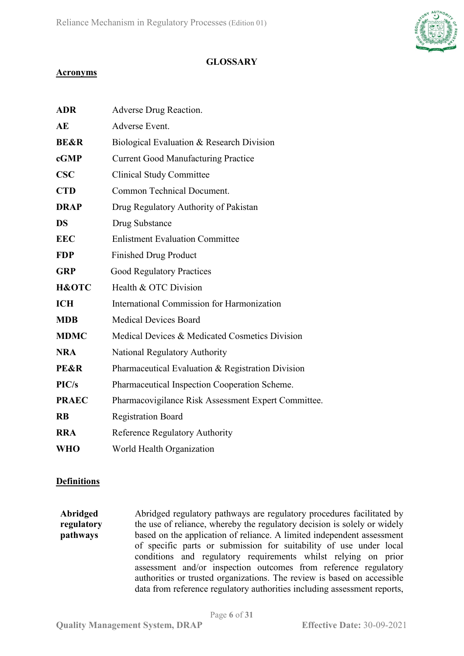

### **GLOSSARY**

### **Acronyms**

| <b>ADR</b>       | Adverse Drug Reaction.                              |
|------------------|-----------------------------------------------------|
| AE               | Adverse Event.                                      |
| <b>BE&amp;R</b>  | Biological Evaluation & Research Division           |
| cGMP             | <b>Current Good Manufacturing Practice</b>          |
| $\bf CSC$        | <b>Clinical Study Committee</b>                     |
| <b>CTD</b>       | <b>Common Technical Document.</b>                   |
| <b>DRAP</b>      | Drug Regulatory Authority of Pakistan               |
| <b>DS</b>        | Drug Substance                                      |
| <b>EEC</b>       | <b>Enlistment Evaluation Committee</b>              |
| <b>FDP</b>       | <b>Finished Drug Product</b>                        |
| <b>GRP</b>       | <b>Good Regulatory Practices</b>                    |
| <b>H&amp;OTC</b> | Health & OTC Division                               |
| <b>ICH</b>       | <b>International Commission for Harmonization</b>   |
| <b>MDB</b>       | <b>Medical Devices Board</b>                        |
| <b>MDMC</b>      | Medical Devices & Medicated Cosmetics Division      |
| <b>NRA</b>       | National Regulatory Authority                       |
| <b>PE&amp;R</b>  | Pharmaceutical Evaluation & Registration Division   |
| PIC/s            | Pharmaceutical Inspection Cooperation Scheme.       |
| <b>PRAEC</b>     | Pharmacovigilance Risk Assessment Expert Committee. |
| <b>RB</b>        | <b>Registration Board</b>                           |
| <b>RRA</b>       | Reference Regulatory Authority                      |
| <b>WHO</b>       | World Health Organization                           |

### **Definitions**

**Abridged regulatory pathways** Abridged regulatory pathways are regulatory procedures facilitated by the use of reliance, whereby the regulatory decision is solely or widely based on the application of reliance. A limited independent assessment of specific parts or submission for suitability of use under local conditions and regulatory requirements whilst relying on prior assessment and/or inspection outcomes from reference regulatory authorities or trusted organizations. The review is based on accessible data from reference regulatory authorities including assessment reports,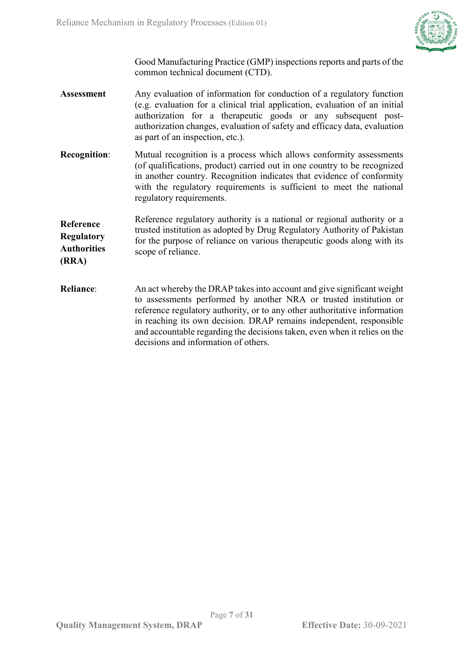

Good Manufacturing Practice (GMP) inspections reports and parts of the common technical document (CTD).

- **Assessment** Any evaluation of information for conduction of a regulatory function (e.g. evaluation for a clinical trial application, evaluation of an initial authorization for a therapeutic goods or any subsequent postauthorization changes, evaluation of safety and efficacy data, evaluation as part of an inspection, etc.).
- **Recognition:** Mutual recognition is a process which allows conformity assessments (of qualifications, product) carried out in one country to be recognized in another country. Recognition indicates that evidence of conformity with the regulatory requirements is sufficient to meet the national regulatory requirements.

**Reference Regulatory Authorities (RRA)** Reference regulatory authority is a national or regional authority or a trusted institution as adopted by Drug Regulatory Authority of Pakistan for the purpose of reliance on various therapeutic goods along with its scope of reliance.

**Reliance**: An act whereby the DRAP takes into account and give significant weight to assessments performed by another NRA or trusted institution or reference regulatory authority, or to any other authoritative information in reaching its own decision. DRAP remains independent, responsible and accountable regarding the decisions taken, even when it relies on the decisions and information of others.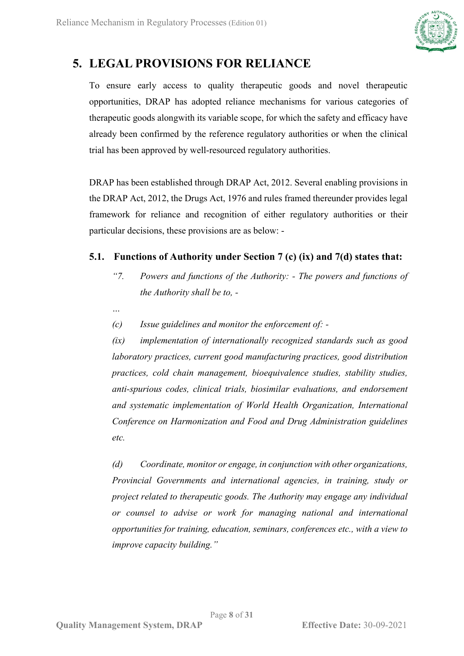

# <span id="page-7-0"></span>**5. LEGAL PROVISIONS FOR RELIANCE**

To ensure early access to quality therapeutic goods and novel therapeutic opportunities, DRAP has adopted reliance mechanisms for various categories of therapeutic goods alongwith its variable scope, for which the safety and efficacy have already been confirmed by the reference regulatory authorities or when the clinical trial has been approved by well-resourced regulatory authorities.

DRAP has been established through DRAP Act, 2012. Several enabling provisions in the DRAP Act, 2012, the Drugs Act, 1976 and rules framed thereunder provides legal framework for reliance and recognition of either regulatory authorities or their particular decisions, these provisions are as below: -

## <span id="page-7-1"></span>**5.1. Functions of Authority under Section 7 (c) (ix) and 7(d) states that:**

- *"7. Powers and functions of the Authority: - The powers and functions of the Authority shall be to, -*
- *…*
- *(c) Issue guidelines and monitor the enforcement of: -*

*(ix) implementation of internationally recognized standards such as good laboratory practices, current good manufacturing practices, good distribution practices, cold chain management, bioequivalence studies, stability studies, anti-spurious codes, clinical trials, biosimilar evaluations, and endorsement and systematic implementation of World Health Organization, International Conference on Harmonization and Food and Drug Administration guidelines etc.*

*(d) Coordinate, monitor or engage, in conjunction with other organizations, Provincial Governments and international agencies, in training, study or project related to therapeutic goods. The Authority may engage any individual or counsel to advise or work for managing national and international opportunities for training, education, seminars, conferences etc., with a view to improve capacity building."*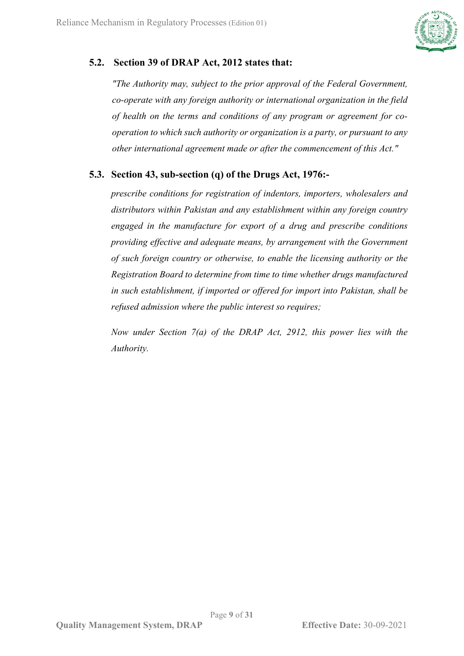

## **5.2. Section 39 of DRAP Act, 2012 states that:**

<span id="page-8-0"></span>*"The Authority may, subject to the prior approval of the Federal Government, co-operate with any foreign authority or international organization in the field of health on the terms and conditions of any program or agreement for cooperation to which such authority or organization is a party, or pursuant to any other international agreement made or after the commencement of this Act."*

### <span id="page-8-1"></span>**5.3. Section 43, sub-section (q) of the Drugs Act, 1976:-**

*prescribe conditions for registration of indentors, importers, wholesalers and distributors within Pakistan and any establishment within any foreign country engaged in the manufacture for export of a drug and prescribe conditions providing effective and adequate means, by arrangement with the Government of such foreign country or otherwise, to enable the licensing authority or the Registration Board to determine from time to time whether drugs manufactured in such establishment, if imported or offered for import into Pakistan, shall be refused admission where the public interest so requires;*

<span id="page-8-2"></span>*Now under Section 7(a) of the DRAP Act, 2912, this power lies with the Authority.*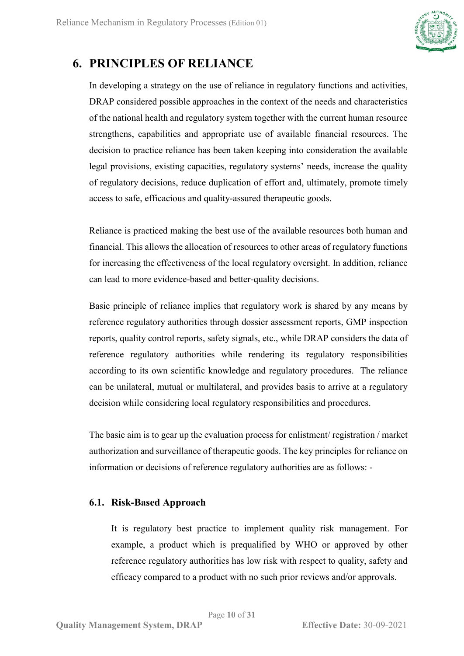

# **6. PRINCIPLES OF RELIANCE**

In developing a strategy on the use of reliance in regulatory functions and activities, DRAP considered possible approaches in the context of the needs and characteristics of the national health and regulatory system together with the current human resource strengthens, capabilities and appropriate use of available financial resources. The decision to practice reliance has been taken keeping into consideration the available legal provisions, existing capacities, regulatory systems' needs, increase the quality of regulatory decisions, reduce duplication of effort and, ultimately, promote timely access to safe, efficacious and quality-assured therapeutic goods.

Reliance is practiced making the best use of the available resources both human and financial. This allows the allocation of resources to other areas of regulatory functions for increasing the effectiveness of the local regulatory oversight. In addition, reliance can lead to more evidence-based and better-quality decisions.

Basic principle of reliance implies that regulatory work is shared by any means by reference regulatory authorities through dossier assessment reports, GMP inspection reports, quality control reports, safety signals, etc., while DRAP considers the data of reference regulatory authorities while rendering its regulatory responsibilities according to its own scientific knowledge and regulatory procedures. The reliance can be unilateral, mutual or multilateral, and provides basis to arrive at a regulatory decision while considering local regulatory responsibilities and procedures.

The basic aim is to gear up the evaluation process for enlistment/ registration / market authorization and surveillance of therapeutic goods. The key principles for reliance on information or decisions of reference regulatory authorities are as follows: -

### <span id="page-9-0"></span>**6.1. Risk-Based Approach**

It is regulatory best practice to implement quality risk management. For example, a product which is prequalified by WHO or approved by other reference regulatory authorities has low risk with respect to quality, safety and efficacy compared to a product with no such prior reviews and/or approvals.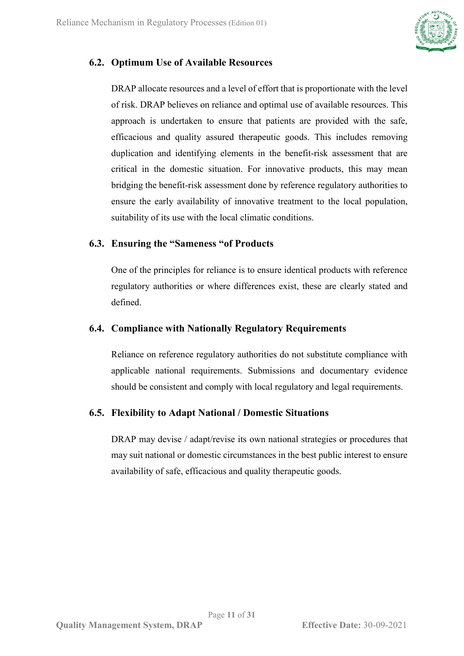

## <span id="page-10-0"></span>**6.2. Optimum Use of Available Resources**

DRAP allocate resources and a level of effort that is proportionate with the level of risk. DRAP believes on reliance and optimal use of available resources. This approach is undertaken to ensure that patients are provided with the safe, efficacious and quality assured therapeutic goods. This includes removing duplication and identifying elements in the benefit-risk assessment that are critical in the domestic situation. For innovative products, this may mean bridging the benefit-risk assessment done by reference regulatory authorities to ensure the early availability of innovative treatment to the local population, suitability of its use with the local climatic conditions.

### <span id="page-10-1"></span>**6.3. Ensuring the "Sameness "of Products**

One of the principles for reliance is to ensure identical products with reference regulatory authorities or where differences exist, these are clearly stated and defined.

### <span id="page-10-2"></span>**6.4. Compliance with Nationally Regulatory Requirements**

Reliance on reference regulatory authorities do not substitute compliance with applicable national requirements. Submissions and documentary evidence should be consistent and comply with local regulatory and legal requirements.

## <span id="page-10-3"></span>**6.5. Flexibility to Adapt National / Domestic Situations**

<span id="page-10-4"></span>DRAP may devise / adapt/revise its own national strategies or procedures that may suit national or domestic circumstances in the best public interest to ensure availability of safe, efficacious and quality therapeutic goods.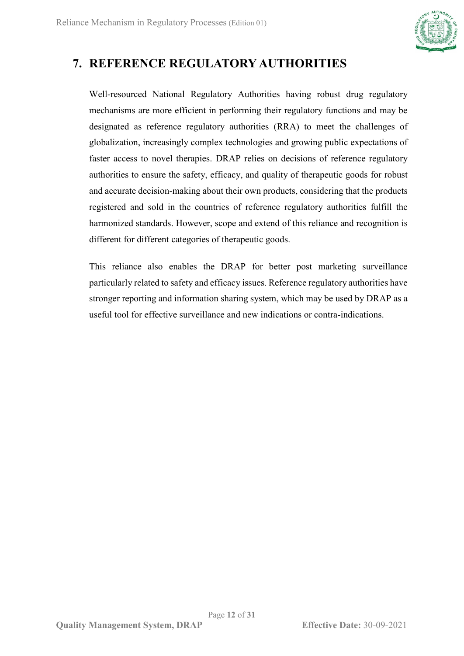

# **7. REFERENCE REGULATORY AUTHORITIES**

Well-resourced National Regulatory Authorities having robust drug regulatory mechanisms are more efficient in performing their regulatory functions and may be designated as reference regulatory authorities (RRA) to meet the challenges of globalization, increasingly complex technologies and growing public expectations of faster access to novel therapies. DRAP relies on decisions of reference regulatory authorities to ensure the safety, efficacy, and quality of therapeutic goods for robust and accurate decision-making about their own products, considering that the products registered and sold in the countries of reference regulatory authorities fulfill the harmonized standards. However, scope and extend of this reliance and recognition is different for different categories of therapeutic goods.

This reliance also enables the DRAP for better post marketing surveillance particularly related to safety and efficacy issues. Reference regulatory authorities have stronger reporting and information sharing system, which may be used by DRAP as a useful tool for effective surveillance and new indications or contra-indications.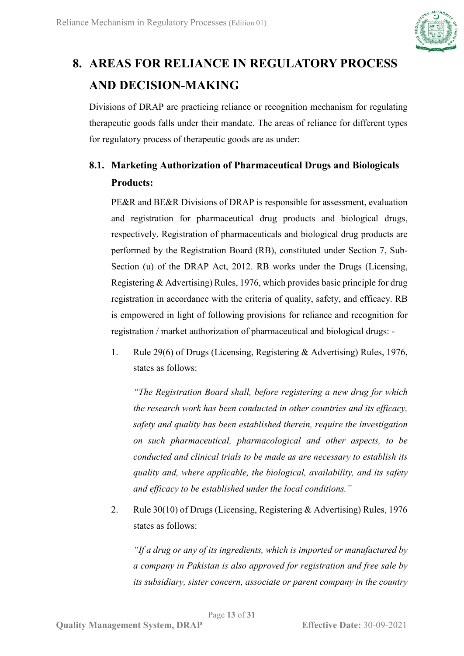

# <span id="page-12-0"></span>**8. AREAS FOR RELIANCE IN REGULATORY PROCESS AND DECISION-MAKING**

Divisions of DRAP are practicing reliance or recognition mechanism for regulating therapeutic goods falls under their mandate. The areas of reliance for different types for regulatory process of therapeutic goods are as under:

# <span id="page-12-1"></span>**8.1. Marketing Authorization of Pharmaceutical Drugs and Biologicals Products:**

PE&R and BE&R Divisions of DRAP is responsible for assessment, evaluation and registration for pharmaceutical drug products and biological drugs, respectively. Registration of pharmaceuticals and biological drug products are performed by the Registration Board (RB), constituted under Section 7, Sub-Section (u) of the DRAP Act, 2012. RB works under the Drugs (Licensing, Registering & Advertising) Rules, 1976, which provides basic principle for drug registration in accordance with the criteria of quality, safety, and efficacy. RB is empowered in light of following provisions for reliance and recognition for registration / market authorization of pharmaceutical and biological drugs: -

1. Rule 29(6) of Drugs (Licensing, Registering & Advertising) Rules, 1976, states as follows:

*"The Registration Board shall, before registering a new drug for which the research work has been conducted in other countries and its efficacy, safety and quality has been established therein, require the investigation on such pharmaceutical, pharmacological and other aspects, to be conducted and clinical trials to be made as are necessary to establish its quality and, where applicable, the biological, availability, and its safety and efficacy to be established under the local conditions."*

2. Rule 30(10) of Drugs (Licensing, Registering & Advertising) Rules, 1976 states as follows:

*"If a drug or any of its ingredients, which is imported or manufactured by a company in Pakistan is also approved for registration and free sale by its subsidiary, sister concern, associate or parent company in the country*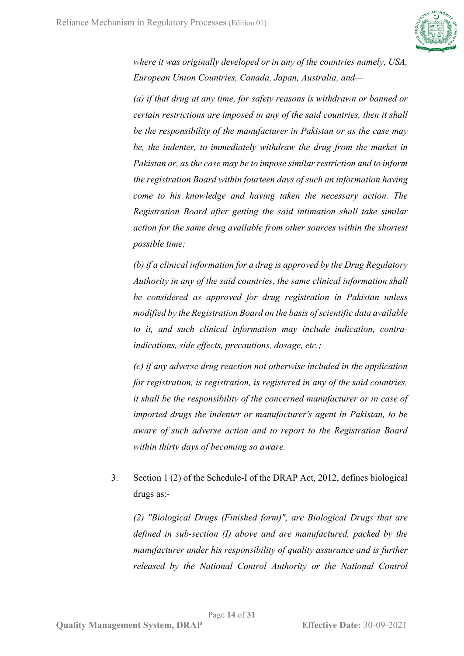

*where it was originally developed or in any of the countries namely, USA, European Union Countries, Canada, Japan, Australia, and—*

*(a) if that drug at any time, for safety reasons is withdrawn or banned or certain restrictions are imposed in any of the said countries, then it shall be the responsibility of the manufacturer in Pakistan or as the case may be, the indenter, to immediately withdraw the drug from the market in Pakistan or, as the case may be to impose similar restriction and to inform the registration Board within fourteen days of such an information having come to his knowledge and having taken the necessary action. The Registration Board after getting the said intimation shall take similar action for the same drug available from other sources within the shortest possible time;*

*(b) if a clinical information for a drug is approved by the Drug Regulatory Authority in any of the said countries, the same clinical information shall be considered as approved for drug registration in Pakistan unless modified by the Registration Board on the basis of scientific data available to it, and such clinical information may include indication, contraindications, side effects, precautions, dosage, etc.;*

*(c) if any adverse drug reaction not otherwise included in the application for registration, is registration, is registered in any of the said countries, it shall be the responsibility of the concerned manufacturer or in case of imported drugs the indenter or manufacturer's agent in Pakistan, to be aware of such adverse action and to report to the Registration Board within thirty days of becoming so aware.*

3. Section 1 (2) of the Schedule-I of the DRAP Act, 2012, defines biological drugs as:-

*(2) "Biological Drugs (Finished form)", are Biological Drugs that are defined in sub-section (I) above and are manufactured, packed by the manufacturer under his responsibility of quality assurance and is further released by the National Control Authority or the National Control*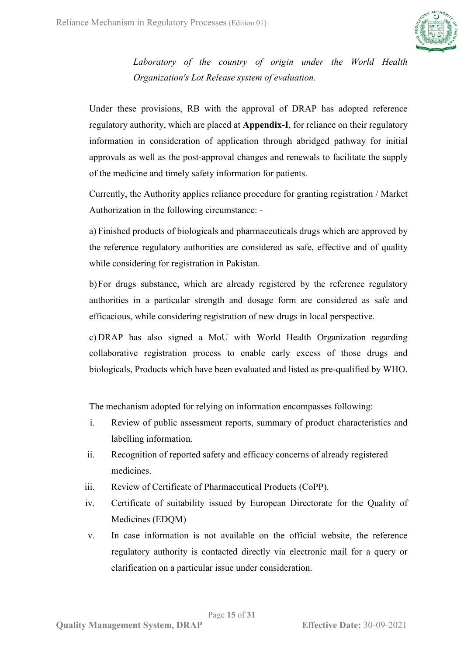

*Laboratory of the country of origin under the World Health Organization's Lot Release system of evaluation.*

Under these provisions, RB with the approval of DRAP has adopted reference regulatory authority, which are placed at **Appendix-I**, for reliance on their regulatory information in consideration of application through abridged pathway for initial approvals as well as the post-approval changes and renewals to facilitate the supply of the medicine and timely safety information for patients.

Currently, the Authority applies reliance procedure for granting registration / Market Authorization in the following circumstance: -

a) Finished products of biologicals and pharmaceuticals drugs which are approved by the reference regulatory authorities are considered as safe, effective and of quality while considering for registration in Pakistan.

b)For drugs substance, which are already registered by the reference regulatory authorities in a particular strength and dosage form are considered as safe and efficacious, while considering registration of new drugs in local perspective.

c) DRAP has also signed a MoU with World Health Organization regarding collaborative registration process to enable early excess of those drugs and biologicals, Products which have been evaluated and listed as pre-qualified by WHO.

The mechanism adopted for relying on information encompasses following:

- i. Review of public assessment reports, summary of product characteristics and labelling information.
- ii. Recognition of reported safety and efficacy concerns of already registered medicines.
- iii. Review of Certificate of Pharmaceutical Products (CoPP).
- iv. Certificate of suitability issued by European Directorate for the Quality of Medicines (EDQM)
- v. In case information is not available on the official website, the reference regulatory authority is contacted directly via electronic mail for a query or clarification on a particular issue under consideration.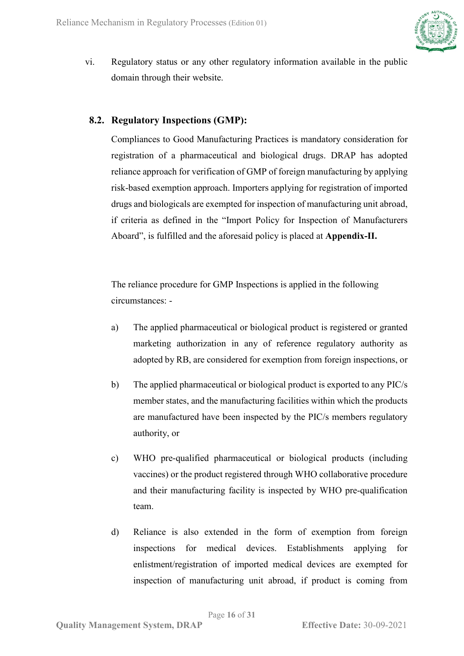

vi. Regulatory status or any other regulatory information available in the public domain through their website.

### <span id="page-15-0"></span>**8.2. Regulatory Inspections (GMP):**

Compliances to Good Manufacturing Practices is mandatory consideration for registration of a pharmaceutical and biological drugs. DRAP has adopted reliance approach for verification of GMP of foreign manufacturing by applying risk-based exemption approach. Importers applying for registration of imported drugs and biologicals are exempted for inspection of manufacturing unit abroad, if criteria as defined in the "Import Policy for Inspection of Manufacturers Aboard", is fulfilled and the aforesaid policy is placed at **Appendix-II.**

The reliance procedure for GMP Inspections is applied in the following circumstances: -

- a) The applied pharmaceutical or biological product is registered or granted marketing authorization in any of reference regulatory authority as adopted by RB, are considered for exemption from foreign inspections, or
- b) The applied pharmaceutical or biological product is exported to any PIC/s member states, and the manufacturing facilities within which the products are manufactured have been inspected by the PIC/s members regulatory authority, or
- c) WHO pre-qualified pharmaceutical or biological products (including vaccines) or the product registered through WHO collaborative procedure and their manufacturing facility is inspected by WHO pre-qualification team.
- d) Reliance is also extended in the form of exemption from foreign inspections for medical devices. Establishments applying for enlistment/registration of imported medical devices are exempted for inspection of manufacturing unit abroad, if product is coming from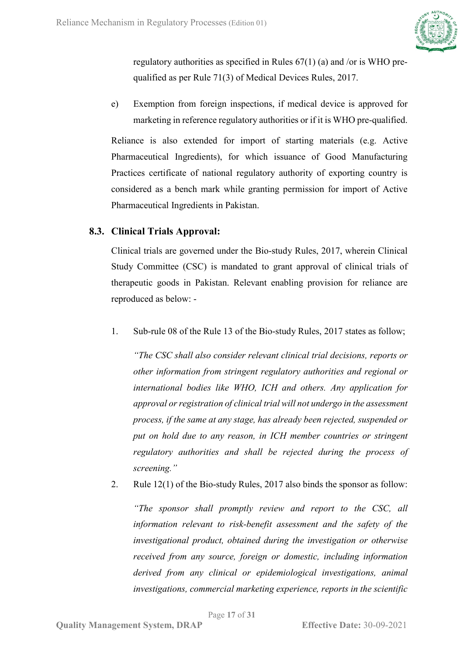

regulatory authorities as specified in Rules 67(1) (a) and /or is WHO prequalified as per Rule 71(3) of Medical Devices Rules, 2017.

e) Exemption from foreign inspections, if medical device is approved for marketing in reference regulatory authorities or if it is WHO pre-qualified.

Reliance is also extended for import of starting materials (e.g. Active Pharmaceutical Ingredients), for which issuance of Good Manufacturing Practices certificate of national regulatory authority of exporting country is considered as a bench mark while granting permission for import of Active Pharmaceutical Ingredients in Pakistan.

## <span id="page-16-0"></span>**8.3. Clinical Trials Approval:**

Clinical trials are governed under the Bio-study Rules, 2017, wherein Clinical Study Committee (CSC) is mandated to grant approval of clinical trials of therapeutic goods in Pakistan. Relevant enabling provision for reliance are reproduced as below: -

1. Sub-rule 08 of the Rule 13 of the Bio-study Rules, 2017 states as follow;

*"The CSC shall also consider relevant clinical trial decisions, reports or other information from stringent regulatory authorities and regional or international bodies like WHO, ICH and others. Any application for approval or registration of clinical trial will not undergo in the assessment process, if the same at any stage, has already been rejected, suspended or put on hold due to any reason, in ICH member countries or stringent regulatory authorities and shall be rejected during the process of screening."*

2. Rule 12(1) of the Bio-study Rules, 2017 also binds the sponsor as follow:

*"The sponsor shall promptly review and report to the CSC, all information relevant to risk-benefit assessment and the safety of the investigational product, obtained during the investigation or otherwise received from any source, foreign or domestic, including information derived from any clinical or epidemiological investigations, animal investigations, commercial marketing experience, reports in the scientific*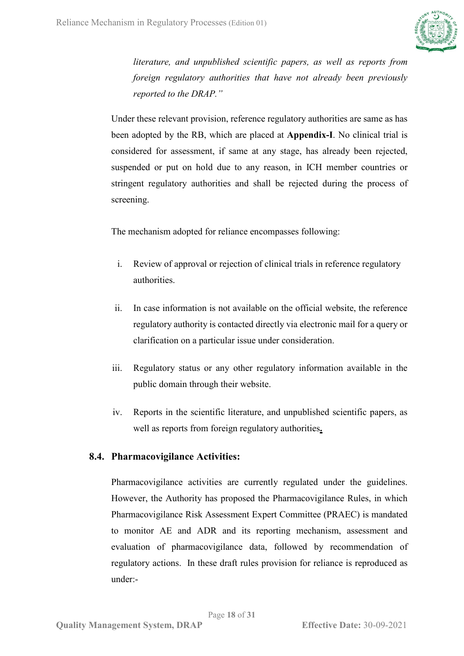

*literature, and unpublished scientific papers, as well as reports from foreign regulatory authorities that have not already been previously reported to the DRAP."*

Under these relevant provision, reference regulatory authorities are same as has been adopted by the RB, which are placed at **Appendix-I**. No clinical trial is considered for assessment, if same at any stage, has already been rejected, suspended or put on hold due to any reason, in ICH member countries or stringent regulatory authorities and shall be rejected during the process of screening.

The mechanism adopted for reliance encompasses following:

- i. Review of approval or rejection of clinical trials in reference regulatory authorities.
- ii. In case information is not available on the official website, the reference regulatory authority is contacted directly via electronic mail for a query or clarification on a particular issue under consideration.
- iii. Regulatory status or any other regulatory information available in the public domain through their website.
- iv. Reports in the scientific literature, and unpublished scientific papers, as well as reports from foreign regulatory authorities**.**

### <span id="page-17-0"></span>**8.4. Pharmacovigilance Activities:**

Pharmacovigilance activities are currently regulated under the guidelines. However, the Authority has proposed the Pharmacovigilance Rules, in which Pharmacovigilance Risk Assessment Expert Committee (PRAEC) is mandated to monitor AE and ADR and its reporting mechanism, assessment and evaluation of pharmacovigilance data, followed by recommendation of regulatory actions. In these draft rules provision for reliance is reproduced as under:-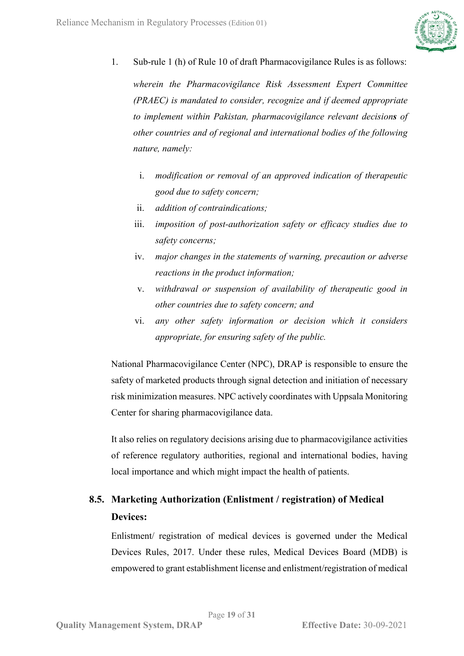

1. Sub-rule 1 (h) of Rule 10 of draft Pharmacovigilance Rules is as follows:

*wherein the Pharmacovigilance Risk Assessment Expert Committee (PRAEC) is mandated to consider, recognize and if deemed appropriate to implement within Pakistan, pharmacovigilance relevant decisions of other countries and of regional and international bodies of the following nature, namely:*

- i. *modification or removal of an approved indication of therapeutic good due to safety concern;*
- ii. *addition of contraindications;*
- iii. *imposition of post-authorization safety or efficacy studies due to safety concerns;*
- iv. *major changes in the statements of warning, precaution or adverse reactions in the product information;*
- v. *withdrawal or suspension of availability of therapeutic good in other countries due to safety concern; and*
- vi. *any other safety information or decision which it considers appropriate, for ensuring safety of the public.*

National Pharmacovigilance Center (NPC), DRAP is responsible to ensure the safety of marketed products through signal detection and initiation of necessary risk minimization measures. NPC actively coordinates with Uppsala Monitoring Center for sharing pharmacovigilance data.

It also relies on regulatory decisions arising due to pharmacovigilance activities of reference regulatory authorities, regional and international bodies, having local importance and which might impact the health of patients.

## <span id="page-18-0"></span>**8.5. Marketing Authorization (Enlistment / registration) of Medical Devices:**

Enlistment/ registration of medical devices is governed under the Medical Devices Rules, 2017. Under these rules, Medical Devices Board (MDB) is empowered to grant establishment license and enlistment/registration of medical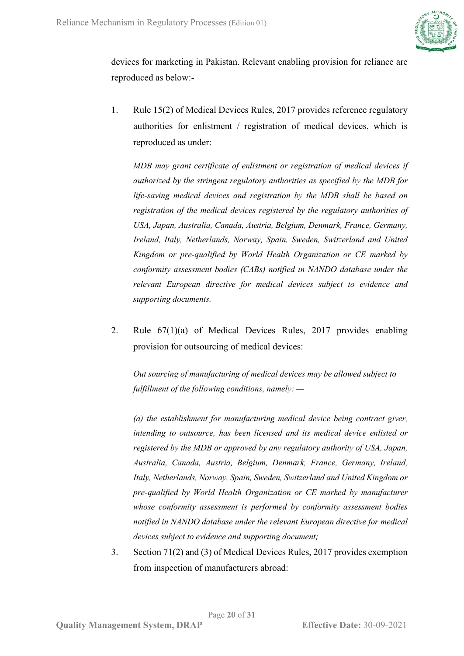

devices for marketing in Pakistan. Relevant enabling provision for reliance are reproduced as below:-

1. Rule 15(2) of Medical Devices Rules, 2017 provides reference regulatory authorities for enlistment / registration of medical devices, which is reproduced as under:

*MDB may grant certificate of enlistment or registration of medical devices if authorized by the stringent regulatory authorities as specified by the MDB for life-saving medical devices and registration by the MDB shall be based on registration of the medical devices registered by the regulatory authorities of USA, Japan, Australia, Canada, Austria, Belgium, Denmark, France, Germany, Ireland, Italy, Netherlands, Norway, Spain, Sweden, Switzerland and United Kingdom or pre-qualified by World Health Organization or CE marked by conformity assessment bodies (CABs) notified in NANDO database under the relevant European directive for medical devices subject to evidence and supporting documents.* 

2. Rule 67(1)(a) of Medical Devices Rules, 2017 provides enabling provision for outsourcing of medical devices:

*Out sourcing of manufacturing of medical devices may be allowed subject to fulfillment of the following conditions, namely: —*

*(a) the establishment for manufacturing medical device being contract giver, intending to outsource, has been licensed and its medical device enlisted or registered by the MDB or approved by any regulatory authority of USA, Japan, Australia, Canada, Austria, Belgium, Denmark, France, Germany, Ireland, Italy, Netherlands, Norway, Spain, Sweden, Switzerland and United Kingdom or pre-qualified by World Health Organization or CE marked by manufacturer whose conformity assessment is performed by conformity assessment bodies notified in NANDO database under the relevant European directive for medical devices subject to evidence and supporting document;* 

3. Section 71(2) and (3) of Medical Devices Rules, 2017 provides exemption from inspection of manufacturers abroad: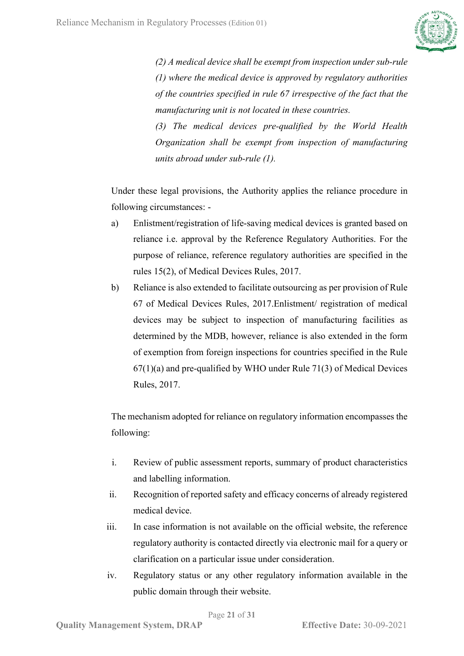

*(2) A medical device shall be exempt from inspection under sub-rule (1) where the medical device is approved by regulatory authorities of the countries specified in rule 67 irrespective of the fact that the manufacturing unit is not located in these countries.* 

*(3) The medical devices pre-qualified by the World Health Organization shall be exempt from inspection of manufacturing units abroad under sub-rule (1).*

Under these legal provisions, the Authority applies the reliance procedure in following circumstances: -

- a) Enlistment/registration of life-saving medical devices is granted based on reliance i.e. approval by the Reference Regulatory Authorities. For the purpose of reliance, reference regulatory authorities are specified in the rules 15(2), of Medical Devices Rules, 2017.
- b) Reliance is also extended to facilitate outsourcing as per provision of Rule 67 of Medical Devices Rules, 2017.Enlistment/ registration of medical devices may be subject to inspection of manufacturing facilities as determined by the MDB, however, reliance is also extended in the form of exemption from foreign inspections for countries specified in the Rule  $67(1)(a)$  and pre-qualified by WHO under Rule 71(3) of Medical Devices Rules, 2017.

The mechanism adopted for reliance on regulatory information encompasses the following:

- i. Review of public assessment reports, summary of product characteristics and labelling information.
- ii. Recognition of reported safety and efficacy concerns of already registered medical device.
- iii. In case information is not available on the official website, the reference regulatory authority is contacted directly via electronic mail for a query or clarification on a particular issue under consideration.
- iv. Regulatory status or any other regulatory information available in the public domain through their website.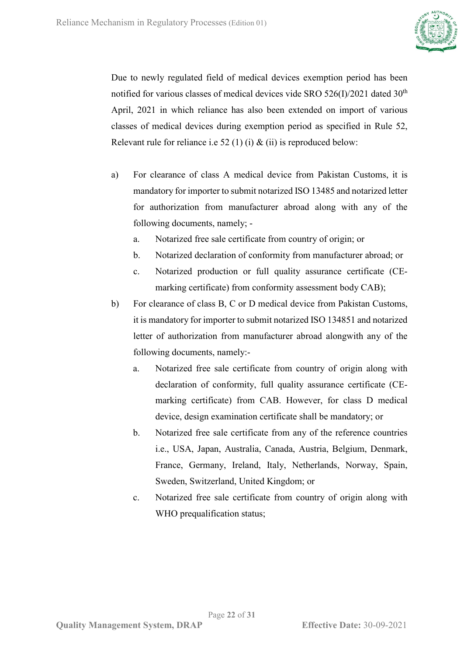

Due to newly regulated field of medical devices exemption period has been notified for various classes of medical devices vide SRO  $526(I)/2021$  dated  $30<sup>th</sup>$ April, 2021 in which reliance has also been extended on import of various classes of medical devices during exemption period as specified in Rule 52, Relevant rule for reliance i.e 52 (1) (i)  $\&$  (ii) is reproduced below:

- a) For clearance of class A medical device from Pakistan Customs, it is mandatory for importer to submit notarized ISO 13485 and notarized letter for authorization from manufacturer abroad along with any of the following documents, namely;
	- a. Notarized free sale certificate from country of origin; or
	- b. Notarized declaration of conformity from manufacturer abroad; or
	- c. Notarized production or full quality assurance certificate (CEmarking certificate) from conformity assessment body CAB);
- b) For clearance of class B, C or D medical device from Pakistan Customs, it is mandatory for importer to submit notarized ISO 134851 and notarized letter of authorization from manufacturer abroad alongwith any of the following documents, namely:
	- a. Notarized free sale certificate from country of origin along with declaration of conformity, full quality assurance certificate (CEmarking certificate) from CAB. However, for class D medical device, design examination certificate shall be mandatory; or
	- b. Notarized free sale certificate from any of the reference countries i.e., USA, Japan, Australia, Canada, Austria, Belgium, Denmark, France, Germany, Ireland, Italy, Netherlands, Norway, Spain, Sweden, Switzerland, United Kingdom; or
	- c. Notarized free sale certificate from country of origin along with WHO prequalification status;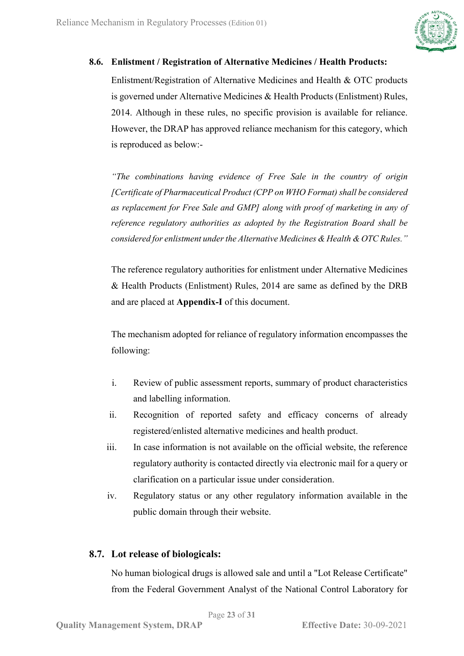

### <span id="page-22-0"></span>**8.6. Enlistment / Registration of Alternative Medicines / Health Products:**

Enlistment/Registration of Alternative Medicines and Health & OTC products is governed under Alternative Medicines & Health Products (Enlistment) Rules, 2014. Although in these rules, no specific provision is available for reliance. However, the DRAP has approved reliance mechanism for this category, which is reproduced as below:-

*"The combinations having evidence of Free Sale in the country of origin [Certificate of Pharmaceutical Product (CPP on WHO Format) shall be considered as replacement for Free Sale and GMP] along with proof of marketing in any of reference regulatory authorities as adopted by the Registration Board shall be considered for enlistment under the Alternative Medicines & Health & OTC Rules."* 

The reference regulatory authorities for enlistment under Alternative Medicines & Health Products (Enlistment) Rules, 2014 are same as defined by the DRB and are placed at **Appendix-I** of this document.

The mechanism adopted for reliance of regulatory information encompasses the following:

- i. Review of public assessment reports, summary of product characteristics and labelling information.
- ii. Recognition of reported safety and efficacy concerns of already registered/enlisted alternative medicines and health product.
- iii. In case information is not available on the official website, the reference regulatory authority is contacted directly via electronic mail for a query or clarification on a particular issue under consideration.
- iv. Regulatory status or any other regulatory information available in the public domain through their website.

## <span id="page-22-1"></span>**8.7. Lot release of biologicals:**

No human biological drugs is allowed sale and until a "Lot Release Certificate" from the Federal Government Analyst of the National Control Laboratory for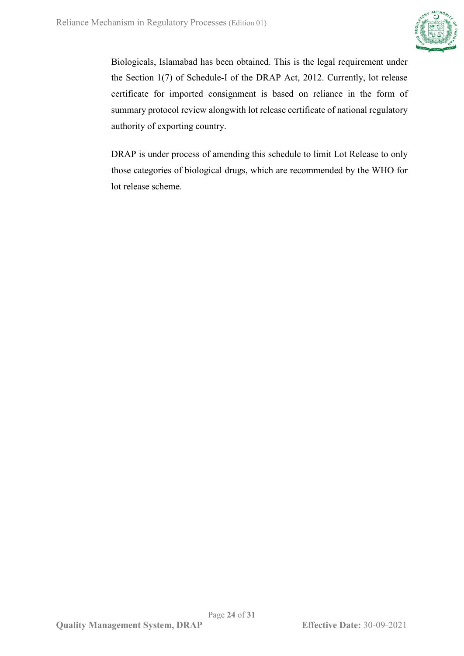

Biologicals, Islamabad has been obtained. This is the legal requirement under the Section 1(7) of Schedule-I of the DRAP Act, 2012. Currently, lot release certificate for imported consignment is based on reliance in the form of summary protocol review alongwith lot release certificate of national regulatory authority of exporting country.

DRAP is under process of amending this schedule to limit Lot Release to only those categories of biological drugs, which are recommended by the WHO for lot release scheme.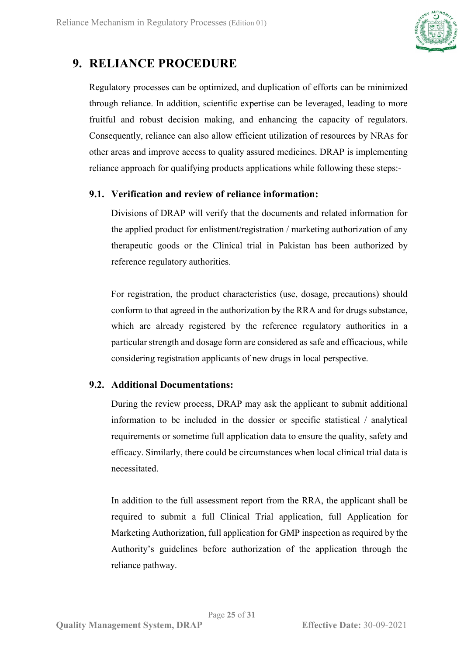

## <span id="page-24-0"></span>**9. RELIANCE PROCEDURE**

Regulatory processes can be optimized, and duplication of efforts can be minimized through reliance. In addition, scientific expertise can be leveraged, leading to more fruitful and robust decision making, and enhancing the capacity of regulators. Consequently, reliance can also allow efficient utilization of resources by NRAs for other areas and improve access to quality assured medicines. DRAP is implementing reliance approach for qualifying products applications while following these steps:-

### <span id="page-24-1"></span>**9.1. Verification and review of reliance information:**

Divisions of DRAP will verify that the documents and related information for the applied product for enlistment/registration / marketing authorization of any therapeutic goods or the Clinical trial in Pakistan has been authorized by reference regulatory authorities.

For registration, the product characteristics (use, dosage, precautions) should conform to that agreed in the authorization by the RRA and for drugs substance, which are already registered by the reference regulatory authorities in a particular strength and dosage form are considered as safe and efficacious, while considering registration applicants of new drugs in local perspective.

## <span id="page-24-2"></span>**9.2. Additional Documentations:**

During the review process, DRAP may ask the applicant to submit additional information to be included in the dossier or specific statistical / analytical requirements or sometime full application data to ensure the quality, safety and efficacy. Similarly, there could be circumstances when local clinical trial data is necessitated.

In addition to the full assessment report from the RRA, the applicant shall be required to submit a full Clinical Trial application, full Application for Marketing Authorization, full application for GMP inspection as required by the Authority's guidelines before authorization of the application through the reliance pathway.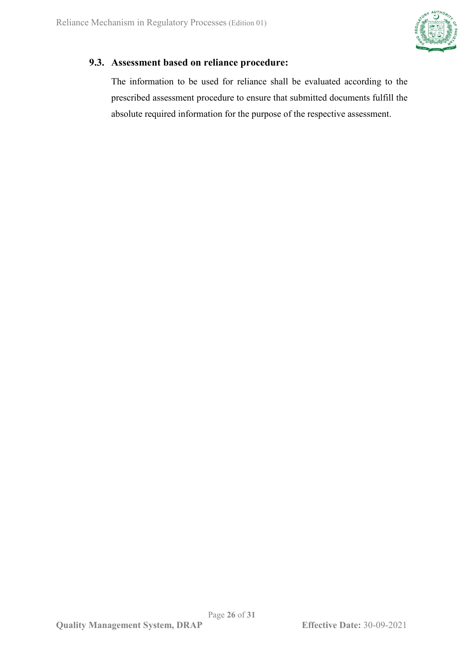

## <span id="page-25-0"></span>**9.3. Assessment based on reliance procedure:**

The information to be used for reliance shall be evaluated according to the prescribed assessment procedure to ensure that submitted documents fulfill the absolute required information for the purpose of the respective assessment.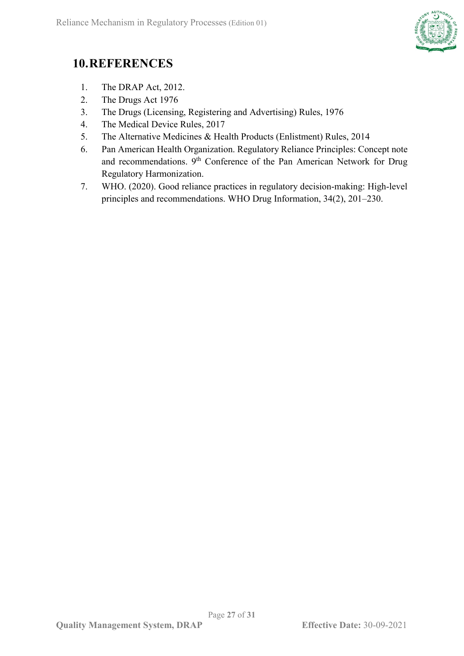

# <span id="page-26-0"></span>**10.REFERENCES**

- 1. The DRAP Act, 2012.
- 2. The Drugs Act 1976
- 3. The Drugs (Licensing, Registering and Advertising) Rules, 1976
- 4. The Medical Device Rules, 2017
- 5. The Alternative Medicines & Health Products (Enlistment) Rules, 2014
- 6. Pan American Health Organization. Regulatory Reliance Principles: Concept note and recommendations.  $9<sup>th</sup>$  Conference of the Pan American Network for Drug Regulatory Harmonization.
- 7. WHO. (2020). Good reliance practices in regulatory decision-making: High-level principles and recommendations. WHO Drug Information, 34(2), 201–230.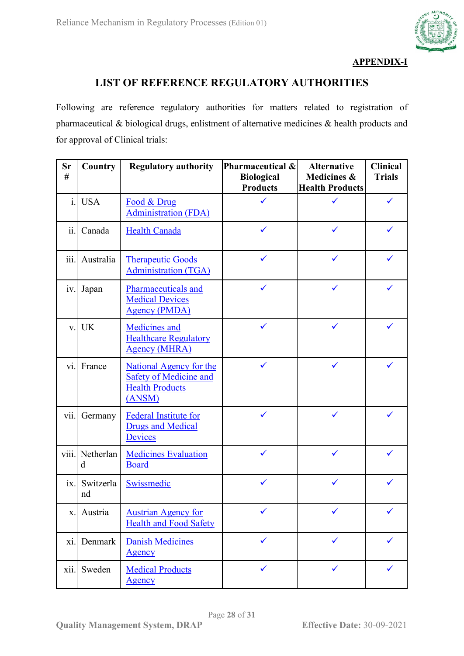

### **APPENDIX-I**

## **LIST OF REFERENCE REGULATORY AUTHORITIES**

Following are reference regulatory authorities for matters related to registration of pharmaceutical & biological drugs, enlistment of alternative medicines & health products and for approval of Clinical trials:

| <b>Sr</b><br>#         | Country         | <b>Regulatory authority</b>                                                                  | Pharmaceutical &<br><b>Biological</b><br><b>Products</b> | <b>Alternative</b><br>Medicines &<br><b>Health Products</b> | <b>Clinical</b><br><b>Trials</b> |
|------------------------|-----------------|----------------------------------------------------------------------------------------------|----------------------------------------------------------|-------------------------------------------------------------|----------------------------------|
|                        | i. USA          | Food & Drug<br><b>Administration (FDA)</b>                                                   | ✓                                                        | ✓                                                           | ✓                                |
| ii.                    | Canada          | <b>Health Canada</b>                                                                         | ✓                                                        | $\checkmark$                                                | ✓                                |
| $\dddot{\mathbf{m}}$ . | Australia       | <b>Therapeutic Goods</b><br><b>Administration (TGA)</b>                                      | ✓                                                        | ✓                                                           |                                  |
| iv.                    | Japan           | Pharmaceuticals and<br><b>Medical Devices</b><br><b>Agency (PMDA)</b>                        | ✓                                                        | ✓                                                           |                                  |
| V.                     | <b>UK</b>       | <b>Medicines</b> and<br><b>Healthcare Regulatory</b><br><b>Agency (MHRA)</b>                 | $\checkmark$                                             | $\checkmark$                                                | ✓                                |
| vi.                    | France          | National Agency for the<br><b>Safety of Medicine and</b><br><b>Health Products</b><br>(ANSM) | ✓                                                        | $\checkmark$                                                |                                  |
| vii.                   | Germany         | <b>Federal Institute for</b><br><b>Drugs and Medical</b><br>Devices                          | ✓                                                        | $\checkmark$                                                | ✓                                |
| viii.                  | Netherlan<br>d  | <b>Medicines Evaluation</b><br><b>Board</b>                                                  | ✓                                                        | $\checkmark$                                                |                                  |
| ix.                    | Switzerla<br>nd | Swissmedic                                                                                   | ✓                                                        | ✓                                                           |                                  |
| X.                     | Austria         | <b>Austrian Agency for</b><br><b>Health and Food Safety</b>                                  |                                                          |                                                             |                                  |
| $x_{1}$ .              | Denmark         | <b>Danish Medicines</b><br><b>Agency</b>                                                     | ✓                                                        | $\checkmark$                                                | ✓                                |
| xii.                   | Sweden          | <b>Medical Products</b><br>Agency                                                            | $\checkmark$                                             | $\checkmark$                                                |                                  |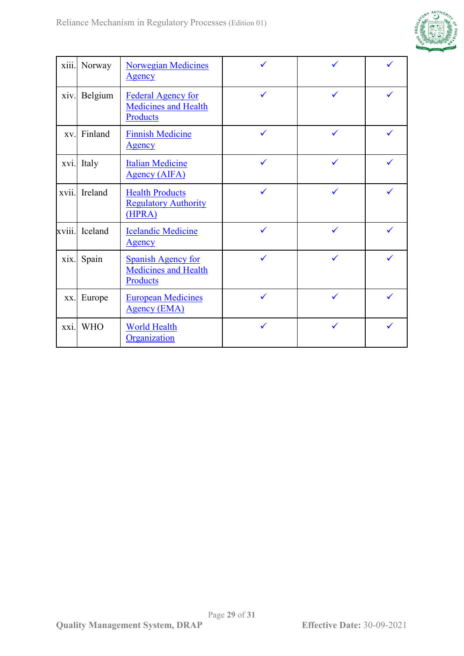

| xiii.  | Norway     | <b>Norwegian Medicines</b><br><b>Agency</b>                          | ✓            |   |  |
|--------|------------|----------------------------------------------------------------------|--------------|---|--|
| xiv.   | Belgium    | <b>Federal Agency for</b><br><b>Medicines and Health</b><br>Products | $\checkmark$ | ✓ |  |
| XV.    | Finland    | <b>Finnish Medicine</b><br><b>Agency</b>                             | ✓            | ✓ |  |
| xvi.   | Italy      | <b>Italian Medicine</b><br><b>Agency (AIFA)</b>                      | ✓            |   |  |
| xvii.  | Ireland    | <b>Health Products</b><br><b>Regulatory Authority</b><br>(HPRA)      | ✓            | ✓ |  |
| xviii. | Iceland    | <b>Icelandic Medicine</b><br>Agency                                  | ✓            | ✓ |  |
| xix.   | Spain      | <b>Spanish Agency for</b><br><b>Medicines and Health</b><br>Products | ✓            |   |  |
| XX.    | Europe     | <b>European Medicines</b><br><b>Agency (EMA)</b>                     | ✓            |   |  |
| xxi.   | <b>WHO</b> | <b>World Health</b><br>Organization                                  | ✓            | ✓ |  |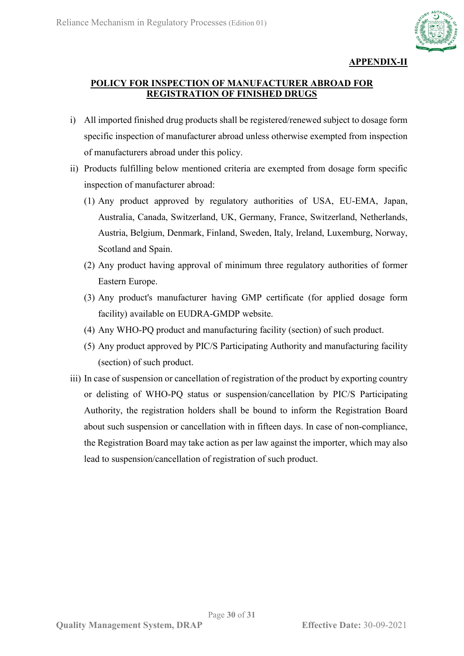

### **APPENDIX-II**

### **POLICY FOR INSPECTION OF MANUFACTURER ABROAD FOR REGISTRATION OF FINISHED DRUGS**

- i) All imported finished drug products shall be registered/renewed subject to dosage form specific inspection of manufacturer abroad unless otherwise exempted from inspection of manufacturers abroad under this policy.
- ii) Products fulfilling below mentioned criteria are exempted from dosage form specific inspection of manufacturer abroad:
	- (1) Any product approved by regulatory authorities of USA, EU-EMA, Japan, Australia, Canada, Switzerland, UK, Germany, France, Switzerland, Netherlands, Austria, Belgium, Denmark, Finland, Sweden, Italy, Ireland, Luxemburg, Norway, Scotland and Spain.
	- (2) Any product having approval of minimum three regulatory authorities of former Eastern Europe.
	- (3) Any product's manufacturer having GMP certificate (for applied dosage form facility) available on EUDRA-GMDP website.
	- (4) Any WHO-PQ product and manufacturing facility (section) of such product.
	- (5) Any product approved by PIC/S Participating Authority and manufacturing facility (section) of such product.
- iii) In case of suspension or cancellation of registration of the product by exporting country or delisting of WHO-PQ status or suspension/cancellation by PIC/S Participating Authority, the registration holders shall be bound to inform the Registration Board about such suspension or cancellation with in fifteen days. In case of non-compliance, the Registration Board may take action as per law against the importer, which may also lead to suspension/cancellation of registration of such product.